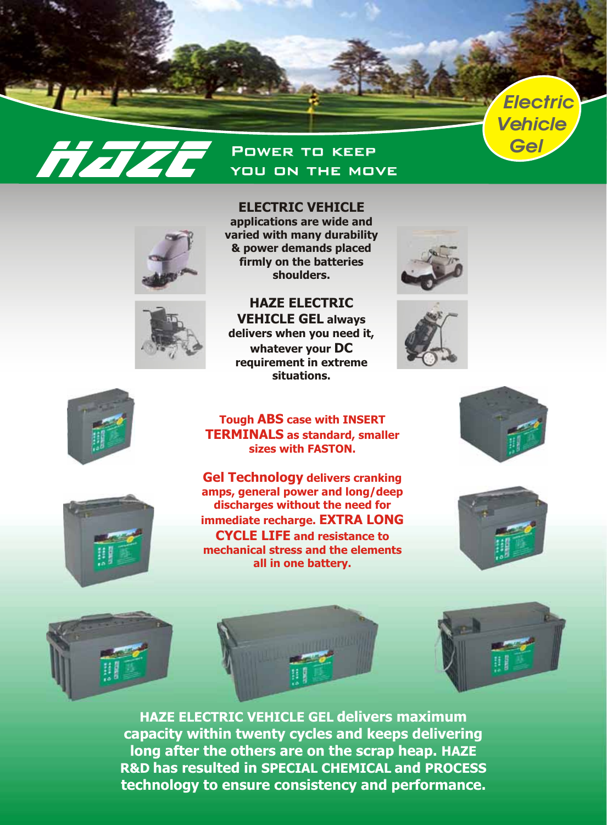

## Power to keep *Gel* **Hazt** you on the move



**applications are wide and varied with many durability & power demands placed firmly on the batteries shoulders.**

**ELECTRIC VEHICLE**



**Tough ABS case with INSERT TERMINALS as standard, smaller sizes with FASTON.**









**Gel Technology delivers cranking amps, general power and long/deep discharges without the need for immediate recharge. EXTRA LONG CYCLE LIFE and resistance to mechanical stress and the elements all in one battery.**





**HAZE ELECTRIC VEHICLE GEL delivers maximum capacity within twenty cycles and keeps delivering long after the others are on the scrap heap. HAZE R&D has resulted in SPECIAL CHEMICAL and PROCESS technology to ensure consistency and performance.**